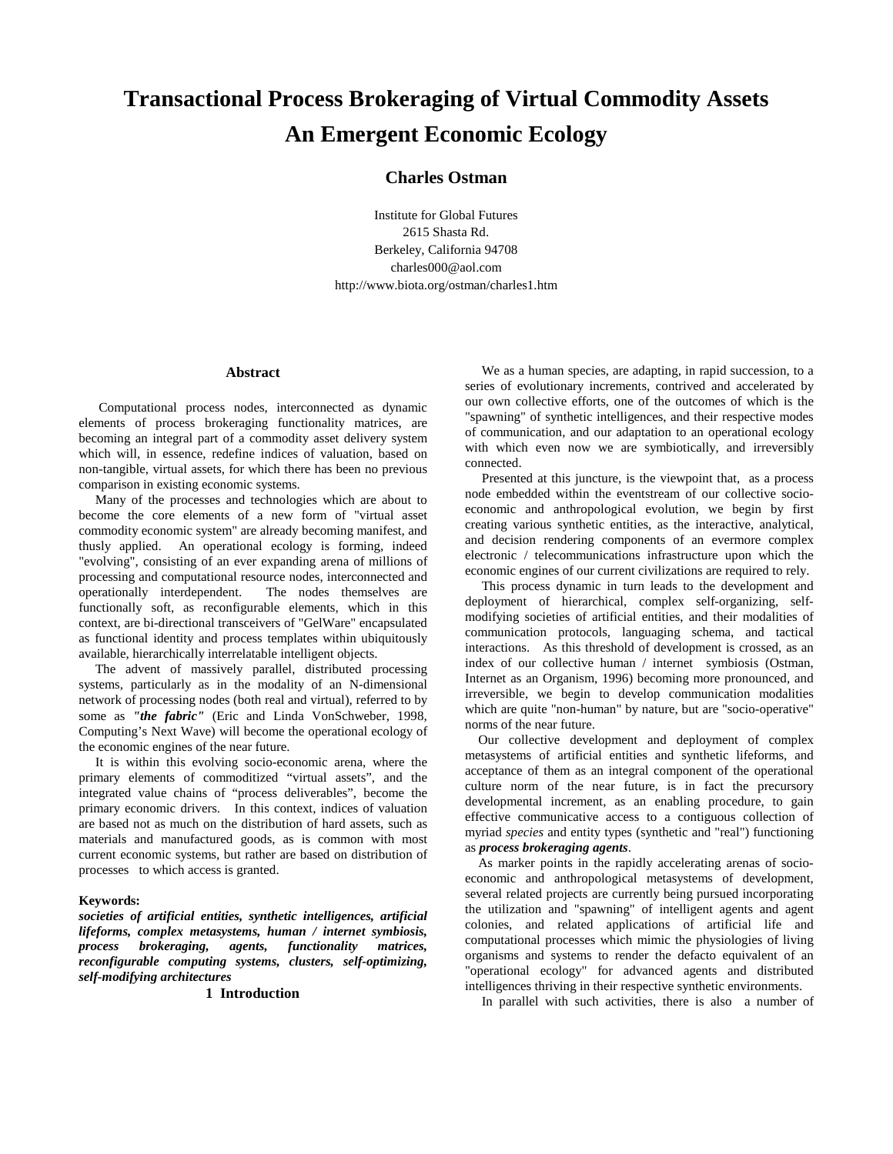# **Transactional Process Brokeraging of Virtual Commodity Assets An Emergent Economic Ecology**

# **Charles Ostman**

Institute for Global Futures 2615 Shasta Rd. Berkeley, California 94708 charles000@aol.com http://www.biota.org/ostman/charles1.htm

#### **Abstract**

 Computational process nodes, interconnected as dynamic elements of process brokeraging functionality matrices, are becoming an integral part of a commodity asset delivery system which will, in essence, redefine indices of valuation, based on non-tangible, virtual assets, for which there has been no previous comparison in existing economic systems.

 Many of the processes and technologies which are about to become the core elements of a new form of "virtual asset commodity economic system" are already becoming manifest, and thusly applied. An operational ecology is forming, indeed "evolving", consisting of an ever expanding arena of millions of processing and computational resource nodes, interconnected and operationally interdependent. The nodes themselves are functionally soft, as reconfigurable elements, which in this context, are bi-directional transceivers of "GelWare" encapsulated as functional identity and process templates within ubiquitously available, hierarchically interrelatable intelligent objects.

 The advent of massively parallel, distributed processing systems, particularly as in the modality of an N-dimensional network of processing nodes (both real and virtual), referred to by some as *"the fabric"* (Eric and Linda VonSchweber, 1998, Computing's Next Wave) will become the operational ecology of the economic engines of the near future.

 It is within this evolving socio-economic arena, where the primary elements of commoditized "virtual assets", and the integrated value chains of "process deliverables", become the primary economic drivers. In this context, indices of valuation are based not as much on the distribution of hard assets, such as materials and manufactured goods, as is common with most current economic systems, but rather are based on distribution of processes to which access is granted.

#### **Keywords:**

*societies of artificial entities, synthetic intelligences, artificial lifeforms, complex metasystems, human / internet symbiosis, process brokeraging, agents, functionality matrices, reconfigurable computing systems, clusters, self-optimizing, self-modifying architectures* 

#### **1 Introduction**

 We as a human species, are adapting, in rapid succession, to a series of evolutionary increments, contrived and accelerated by our own collective efforts, one of the outcomes of which is the "spawning" of synthetic intelligences, and their respective modes of communication, and our adaptation to an operational ecology with which even now we are symbiotically, and irreversibly connected.

 Presented at this juncture, is the viewpoint that, as a process node embedded within the eventstream of our collective socioeconomic and anthropological evolution, we begin by first creating various synthetic entities, as the interactive, analytical, and decision rendering components of an evermore complex electronic / telecommunications infrastructure upon which the economic engines of our current civilizations are required to rely.

 This process dynamic in turn leads to the development and deployment of hierarchical, complex self-organizing, selfmodifying societies of artificial entities, and their modalities of communication protocols, languaging schema, and tactical interactions. As this threshold of development is crossed, as an index of our collective human / internet symbiosis (Ostman, Internet as an Organism, 1996) becoming more pronounced, and irreversible, we begin to develop communication modalities which are quite "non-human" by nature, but are "socio-operative" norms of the near future.

 Our collective development and deployment of complex metasystems of artificial entities and synthetic lifeforms, and acceptance of them as an integral component of the operational culture norm of the near future, is in fact the precursory developmental increment, as an enabling procedure, to gain effective communicative access to a contiguous collection of myriad *species* and entity types (synthetic and "real") functioning as *process brokeraging agents*.

 As marker points in the rapidly accelerating arenas of socioeconomic and anthropological metasystems of development, several related projects are currently being pursued incorporating the utilization and "spawning" of intelligent agents and agent colonies, and related applications of artificial life and computational processes which mimic the physiologies of living organisms and systems to render the defacto equivalent of an "operational ecology" for advanced agents and distributed intelligences thriving in their respective synthetic environments.

In parallel with such activities, there is also a number of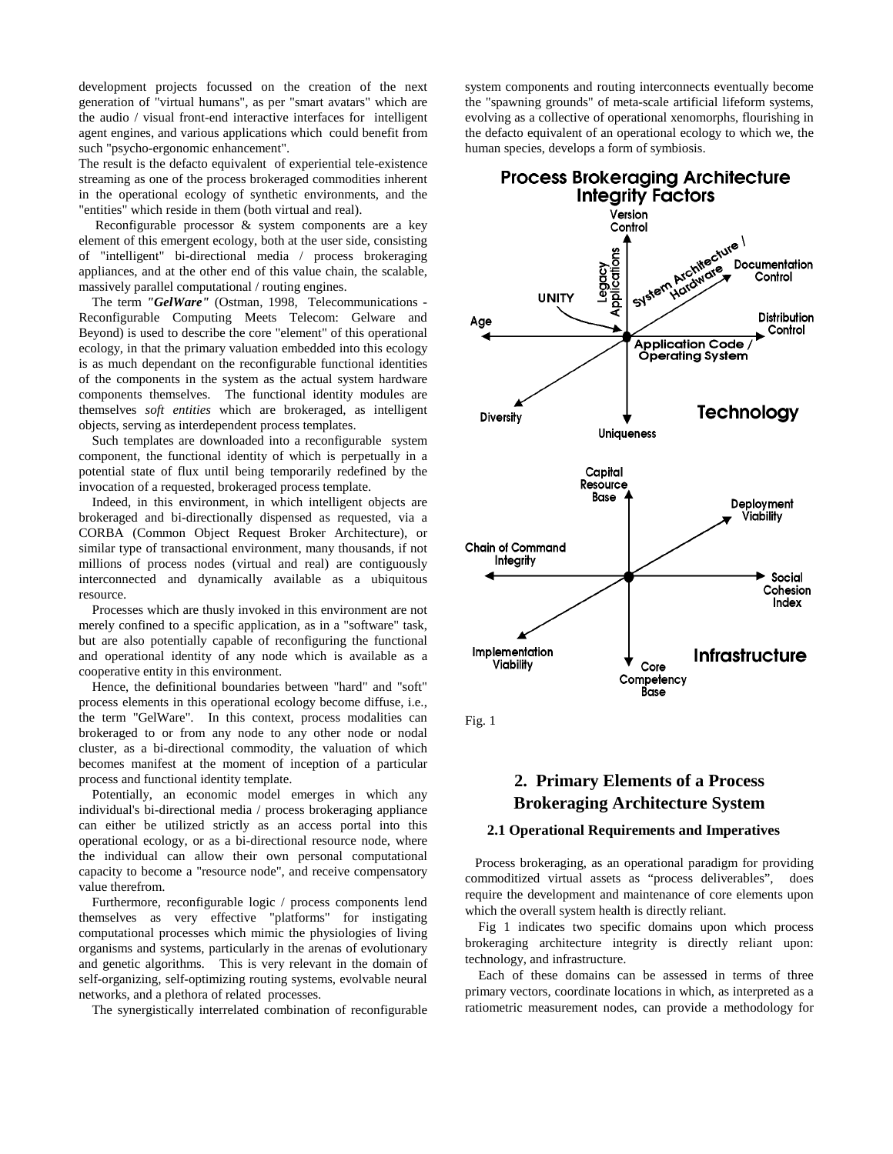development projects focussed on the creation of the next generation of "virtual humans", as per "smart avatars" which are the audio / visual front-end interactive interfaces for intelligent agent engines, and various applications which could benefit from such "psycho-ergonomic enhancement".

The result is the defacto equivalent of experiential tele-existence streaming as one of the process brokeraged commodities inherent in the operational ecology of synthetic environments, and the "entities" which reside in them (both virtual and real).

 Reconfigurable processor & system components are a key element of this emergent ecology, both at the user side, consisting of "intelligent" bi-directional media / process brokeraging appliances, and at the other end of this value chain, the scalable, massively parallel computational / routing engines.

 The term *"GelWare"* (Ostman, 1998, Telecommunications - Reconfigurable Computing Meets Telecom: Gelware and Beyond) is used to describe the core "element" of this operational ecology, in that the primary valuation embedded into this ecology is as much dependant on the reconfigurable functional identities of the components in the system as the actual system hardware components themselves. The functional identity modules are themselves *soft entities* which are brokeraged, as intelligent objects, serving as interdependent process templates.

 Such templates are downloaded into a reconfigurable system component, the functional identity of which is perpetually in a potential state of flux until being temporarily redefined by the invocation of a requested, brokeraged process template.

 Indeed, in this environment, in which intelligent objects are brokeraged and bi-directionally dispensed as requested, via a CORBA (Common Object Request Broker Architecture), or similar type of transactional environment, many thousands, if not millions of process nodes (virtual and real) are contiguously interconnected and dynamically available as a ubiquitous resource.

 Processes which are thusly invoked in this environment are not merely confined to a specific application, as in a "software" task, but are also potentially capable of reconfiguring the functional and operational identity of any node which is available as a cooperative entity in this environment.

 Hence, the definitional boundaries between "hard" and "soft" process elements in this operational ecology become diffuse, i.e., the term "GelWare". In this context, process modalities can brokeraged to or from any node to any other node or nodal cluster, as a bi-directional commodity, the valuation of which becomes manifest at the moment of inception of a particular process and functional identity template.

 Potentially, an economic model emerges in which any individual's bi-directional media / process brokeraging appliance can either be utilized strictly as an access portal into this operational ecology, or as a bi-directional resource node, where the individual can allow their own personal computational capacity to become a "resource node", and receive compensatory value therefrom.

 Furthermore, reconfigurable logic / process components lend themselves as very effective "platforms" for instigating computational processes which mimic the physiologies of living organisms and systems, particularly in the arenas of evolutionary and genetic algorithms. This is very relevant in the domain of self-organizing, self-optimizing routing systems, evolvable neural networks, and a plethora of related processes.

The synergistically interrelated combination of reconfigurable

system components and routing interconnects eventually become the "spawning grounds" of meta-scale artificial lifeform systems, evolving as a collective of operational xenomorphs, flourishing in the defacto equivalent of an operational ecology to which we, the human species, develops a form of symbiosis.



Fig. 1

# **2. Primary Elements of a Process Brokeraging Architecture System**

#### **2.1 Operational Requirements and Imperatives**

 Process brokeraging, as an operational paradigm for providing commoditized virtual assets as "process deliverables", does require the development and maintenance of core elements upon which the overall system health is directly reliant.

 Fig 1 indicates two specific domains upon which process brokeraging architecture integrity is directly reliant upon: technology, and infrastructure.

 Each of these domains can be assessed in terms of three primary vectors, coordinate locations in which, as interpreted as a ratiometric measurement nodes, can provide a methodology for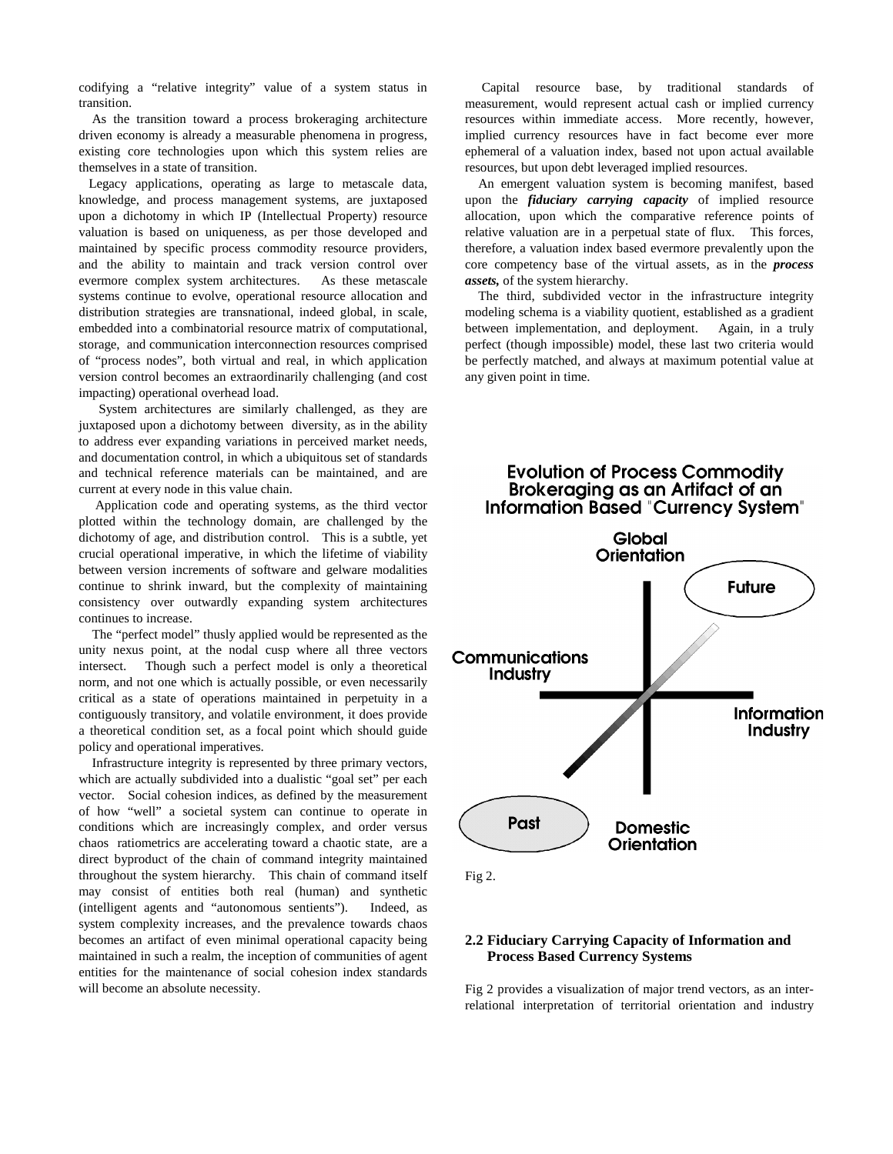codifying a "relative integrity" value of a system status in transition.

 As the transition toward a process brokeraging architecture driven economy is already a measurable phenomena in progress, existing core technologies upon which this system relies are themselves in a state of transition.

 Legacy applications, operating as large to metascale data, knowledge, and process management systems, are juxtaposed upon a dichotomy in which IP (Intellectual Property) resource valuation is based on uniqueness, as per those developed and maintained by specific process commodity resource providers, and the ability to maintain and track version control over evermore complex system architectures. As these metascale systems continue to evolve, operational resource allocation and distribution strategies are transnational, indeed global, in scale, embedded into a combinatorial resource matrix of computational, storage, and communication interconnection resources comprised of "process nodes", both virtual and real, in which application version control becomes an extraordinarily challenging (and cost impacting) operational overhead load.

 System architectures are similarly challenged, as they are juxtaposed upon a dichotomy between diversity, as in the ability to address ever expanding variations in perceived market needs, and documentation control, in which a ubiquitous set of standards and technical reference materials can be maintained, and are current at every node in this value chain.

 Application code and operating systems, as the third vector plotted within the technology domain, are challenged by the dichotomy of age, and distribution control. This is a subtle, yet crucial operational imperative, in which the lifetime of viability between version increments of software and gelware modalities continue to shrink inward, but the complexity of maintaining consistency over outwardly expanding system architectures continues to increase.

 The "perfect model" thusly applied would be represented as the unity nexus point, at the nodal cusp where all three vectors intersect. Though such a perfect model is only a theoretical norm, and not one which is actually possible, or even necessarily critical as a state of operations maintained in perpetuity in a contiguously transitory, and volatile environment, it does provide a theoretical condition set, as a focal point which should guide policy and operational imperatives.

 Infrastructure integrity is represented by three primary vectors, which are actually subdivided into a dualistic "goal set" per each vector. Social cohesion indices, as defined by the measurement of how "well" a societal system can continue to operate in conditions which are increasingly complex, and order versus chaos ratiometrics are accelerating toward a chaotic state, are a direct byproduct of the chain of command integrity maintained throughout the system hierarchy. This chain of command itself may consist of entities both real (human) and synthetic (intelligent agents and "autonomous sentients"). Indeed, as system complexity increases, and the prevalence towards chaos becomes an artifact of even minimal operational capacity being maintained in such a realm, the inception of communities of agent entities for the maintenance of social cohesion index standards will become an absolute necessity.

 Capital resource base, by traditional standards of measurement, would represent actual cash or implied currency resources within immediate access. More recently, however, implied currency resources have in fact become ever more ephemeral of a valuation index, based not upon actual available resources, but upon debt leveraged implied resources.

 An emergent valuation system is becoming manifest, based upon the *fiduciary carrying capacity* of implied resource allocation, upon which the comparative reference points of relative valuation are in a perpetual state of flux. This forces, therefore, a valuation index based evermore prevalently upon the core competency base of the virtual assets, as in the *process assets,* of the system hierarchy.

 The third, subdivided vector in the infrastructure integrity modeling schema is a viability quotient, established as a gradient between implementation, and deployment. Again, in a truly perfect (though impossible) model, these last two criteria would be perfectly matched, and always at maximum potential value at any given point in time.



Fig 2.

## **2.2 Fiduciary Carrying Capacity of Information and Process Based Currency Systems**

Fig 2 provides a visualization of major trend vectors, as an interrelational interpretation of territorial orientation and industry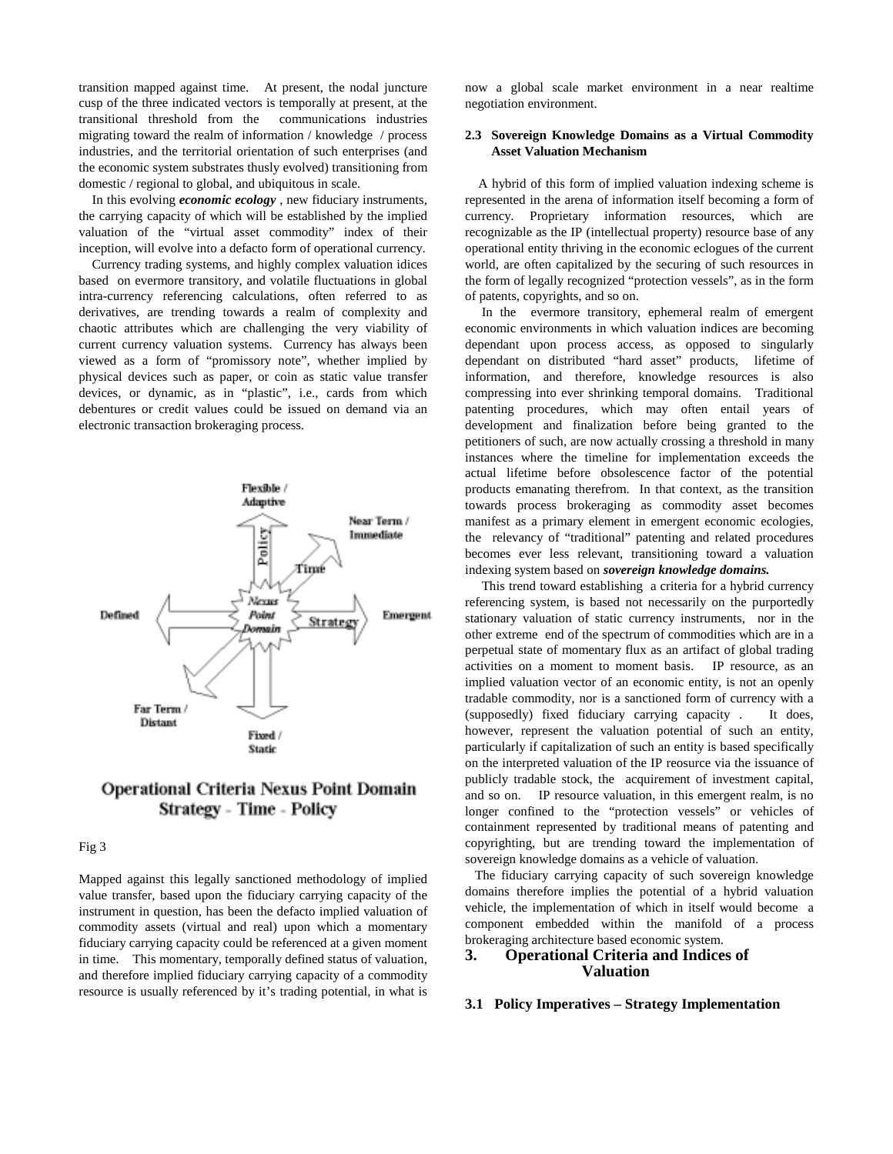transition mapped against time. At present, the nodal juncture cusp of the three indicated vectors is temporally at present, at the transitional threshold from the communications industries migrating toward the realm of information / knowledge / process industries, and the territorial orientation of such enterprises (and the economic system substrates thusly evolved) transitioning from domestic / regional to global, and ubiquitous in scale.

 In this evolving *economic ecology* , new fiduciary instruments, the carrying capacity of which will be established by the implied valuation of the "virtual asset commodity" index of their inception, will evolve into a defacto form of operational currency.

 Currency trading systems, and highly complex valuation idices based on evermore transitory, and volatile fluctuations in global intra-currency referencing calculations, often referred to as derivatives, are trending towards a realm of complexity and chaotic attributes which are challenging the very viability of current currency valuation systems. Currency has always been viewed as a form of "promissory note", whether implied by physical devices such as paper, or coin as static value transfer devices, or dynamic, as in "plastic", i.e., cards from which debentures or credit values could be issued on demand via an electronic transaction brokeraging process.



# **Operational Criteria Nexus Point Domain Strategy - Time - Policy**

## Fig 3

Mapped against this legally sanctioned methodology of implied value transfer, based upon the fiduciary carrying capacity of the instrument in question, has been the defacto implied valuation of commodity assets (virtual and real) upon which a momentary fiduciary carrying capacity could be referenced at a given moment in time. This momentary, temporally defined status of valuation, and therefore implied fiduciary carrying capacity of a commodity resource is usually referenced by it's trading potential, in what is now a global scale market environment in a near realtime negotiation environment.

#### **2.3 Sovereign Knowledge Domains as a Virtual Commodity Asset Valuation Mechanism**

 A hybrid of this form of implied valuation indexing scheme is represented in the arena of information itself becoming a form of currency. Proprietary information resources, which are recognizable as the IP (intellectual property) resource base of any operational entity thriving in the economic eclogues of the current world, are often capitalized by the securing of such resources in the form of legally recognized "protection vessels", as in the form of patents, copyrights, and so on.

 In the evermore transitory, ephemeral realm of emergent economic environments in which valuation indices are becoming dependant upon process access, as opposed to singularly dependant on distributed "hard asset" products, lifetime of information, and therefore, knowledge resources is also compressing into ever shrinking temporal domains. Traditional patenting procedures, which may often entail years of development and finalization before being granted to the petitioners of such, are now actually crossing a threshold in many instances where the timeline for implementation exceeds the actual lifetime before obsolescence factor of the potential products emanating therefrom. In that context, as the transition towards process brokeraging as commodity asset becomes manifest as a primary element in emergent economic ecologies, the relevancy of "traditional" patenting and related procedures becomes ever less relevant, transitioning toward a valuation indexing system based on *sovereign knowledge domains.*

 This trend toward establishing a criteria for a hybrid currency referencing system, is based not necessarily on the purportedly stationary valuation of static currency instruments, nor in the other extreme end of the spectrum of commodities which are in a perpetual state of momentary flux as an artifact of global trading activities on a moment to moment basis. IP resource, as an implied valuation vector of an economic entity, is not an openly tradable commodity, nor is a sanctioned form of currency with a (supposedly) fixed fiduciary carrying capacity . It does, however, represent the valuation potential of such an entity, particularly if capitalization of such an entity is based specifically on the interpreted valuation of the IP reosurce via the issuance of publicly tradable stock, the acquirement of investment capital, and so on. IP resource valuation, in this emergent realm, is no longer confined to the "protection vessels" or vehicles of containment represented by traditional means of patenting and copyrighting, but are trending toward the implementation of sovereign knowledge domains as a vehicle of valuation.

 The fiduciary carrying capacity of such sovereign knowledge domains therefore implies the potential of a hybrid valuation vehicle, the implementation of which in itself would become a component embedded within the manifold of a process brokeraging architecture based economic system.

# **3. Operational Criteria and Indices of Valuation**

# **3.1 Policy Imperatives – Strategy Implementation**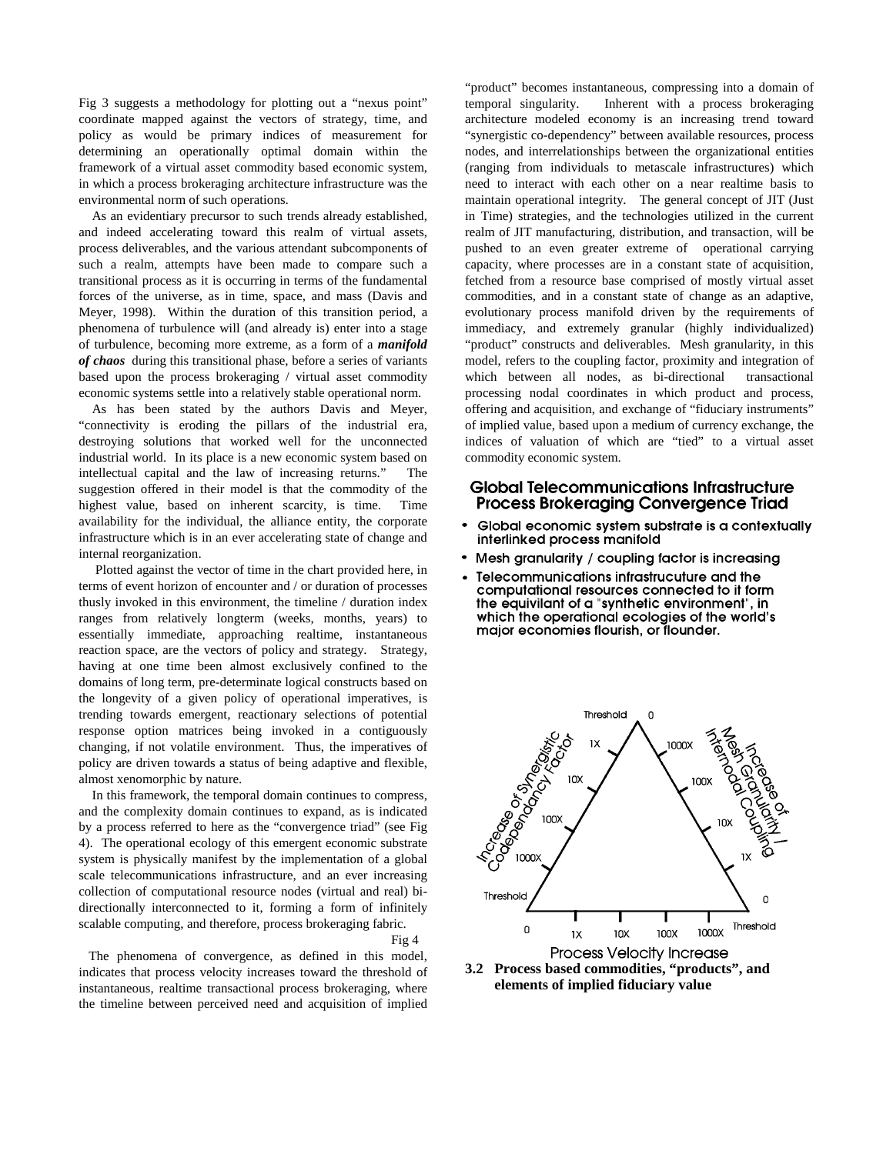Fig 3 suggests a methodology for plotting out a "nexus point" coordinate mapped against the vectors of strategy, time, and policy as would be primary indices of measurement for determining an operationally optimal domain within the framework of a virtual asset commodity based economic system, in which a process brokeraging architecture infrastructure was the environmental norm of such operations.

 As an evidentiary precursor to such trends already established, and indeed accelerating toward this realm of virtual assets, process deliverables, and the various attendant subcomponents of such a realm, attempts have been made to compare such a transitional process as it is occurring in terms of the fundamental forces of the universe, as in time, space, and mass (Davis and Meyer, 1998). Within the duration of this transition period, a phenomena of turbulence will (and already is) enter into a stage of turbulence, becoming more extreme, as a form of a *manifold of chaos* during this transitional phase, before a series of variants based upon the process brokeraging / virtual asset commodity economic systems settle into a relatively stable operational norm.

 As has been stated by the authors Davis and Meyer, "connectivity is eroding the pillars of the industrial era, destroying solutions that worked well for the unconnected industrial world. In its place is a new economic system based on intellectual capital and the law of increasing returns." The suggestion offered in their model is that the commodity of the highest value, based on inherent scarcity, is time. Time availability for the individual, the alliance entity, the corporate infrastructure which is in an ever accelerating state of change and internal reorganization.

 Plotted against the vector of time in the chart provided here, in terms of event horizon of encounter and / or duration of processes thusly invoked in this environment, the timeline / duration index ranges from relatively longterm (weeks, months, years) to essentially immediate, approaching realtime, instantaneous reaction space, are the vectors of policy and strategy. Strategy, having at one time been almost exclusively confined to the domains of long term, pre-determinate logical constructs based on the longevity of a given policy of operational imperatives, is trending towards emergent, reactionary selections of potential response option matrices being invoked in a contiguously changing, if not volatile environment. Thus, the imperatives of policy are driven towards a status of being adaptive and flexible, almost xenomorphic by nature.

 In this framework, the temporal domain continues to compress, and the complexity domain continues to expand, as is indicated by a process referred to here as the "convergence triad" (see Fig 4). The operational ecology of this emergent economic substrate system is physically manifest by the implementation of a global scale telecommunications infrastructure, and an ever increasing collection of computational resource nodes (virtual and real) bidirectionally interconnected to it, forming a form of infinitely scalable computing, and therefore, process brokeraging fabric.

Fig 4

 The phenomena of convergence, as defined in this model, indicates that process velocity increases toward the threshold of instantaneous, realtime transactional process brokeraging, where the timeline between perceived need and acquisition of implied "product" becomes instantaneous, compressing into a domain of temporal singularity. Inherent with a process brokeraging architecture modeled economy is an increasing trend toward "synergistic co-dependency" between available resources, process nodes, and interrelationships between the organizational entities (ranging from individuals to metascale infrastructures) which need to interact with each other on a near realtime basis to maintain operational integrity. The general concept of JIT (Just in Time) strategies, and the technologies utilized in the current realm of JIT manufacturing, distribution, and transaction, will be pushed to an even greater extreme of operational carrying capacity, where processes are in a constant state of acquisition, fetched from a resource base comprised of mostly virtual asset commodities, and in a constant state of change as an adaptive, evolutionary process manifold driven by the requirements of immediacy, and extremely granular (highly individualized) "product" constructs and deliverables. Mesh granularity, in this model, refers to the coupling factor, proximity and integration of which between all nodes, as bi-directional transactional processing nodal coordinates in which product and process, offering and acquisition, and exchange of "fiduciary instruments" of implied value, based upon a medium of currency exchange, the indices of valuation of which are "tied" to a virtual asset commodity economic system.

# **Global Telecommunications Infrastructure Process Brokeraging Convergence Triad**

- Global economic system substrate is a contextually  $\bullet$ interlinked process manifold
- Mesh granularity / coupling factor is increasing
- Telecommunications infrastrucuture and the computational resources connected to it form the equivilant of a "synthetic environment", in which the operational ecologies of the world's major economies flourish, or flounder.



**3.2 Process based commodities, "products", and elements of implied fiduciary value**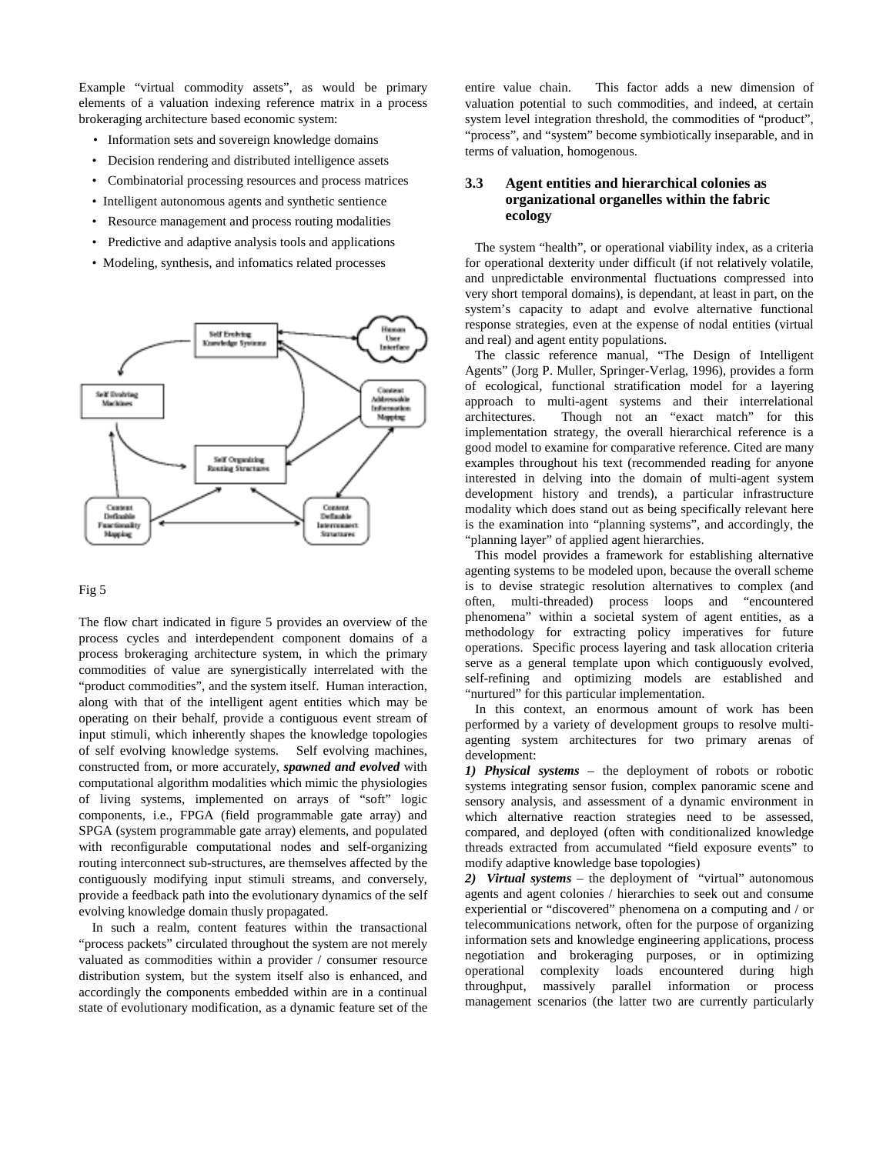Example "virtual commodity assets", as would be primary elements of a valuation indexing reference matrix in a process brokeraging architecture based economic system:

- Information sets and sovereign knowledge domains
- Decision rendering and distributed intelligence assets
- Combinatorial processing resources and process matrices
- Intelligent autonomous agents and synthetic sentience
- Resource management and process routing modalities
- Predictive and adaptive analysis tools and applications
- Modeling, synthesis, and infomatics related processes



#### Fig 5

The flow chart indicated in figure 5 provides an overview of the process cycles and interdependent component domains of a process brokeraging architecture system, in which the primary commodities of value are synergistically interrelated with the "product commodities", and the system itself. Human interaction, along with that of the intelligent agent entities which may be operating on their behalf, provide a contiguous event stream of input stimuli, which inherently shapes the knowledge topologies of self evolving knowledge systems. Self evolving machines, constructed from, or more accurately, *spawned and evolved* with computational algorithm modalities which mimic the physiologies of living systems, implemented on arrays of "soft" logic components, i.e., FPGA (field programmable gate array) and SPGA (system programmable gate array) elements, and populated with reconfigurable computational nodes and self-organizing routing interconnect sub-structures, are themselves affected by the contiguously modifying input stimuli streams, and conversely, provide a feedback path into the evolutionary dynamics of the self evolving knowledge domain thusly propagated.

 In such a realm, content features within the transactional "process packets" circulated throughout the system are not merely valuated as commodities within a provider / consumer resource distribution system, but the system itself also is enhanced, and accordingly the components embedded within are in a continual state of evolutionary modification, as a dynamic feature set of the entire value chain. This factor adds a new dimension of valuation potential to such commodities, and indeed, at certain system level integration threshold, the commodities of "product", "process", and "system" become symbiotically inseparable, and in terms of valuation, homogenous.

## **3.3 Agent entities and hierarchical colonies as organizational organelles within the fabric ecology**

 The system "health", or operational viability index, as a criteria for operational dexterity under difficult (if not relatively volatile, and unpredictable environmental fluctuations compressed into very short temporal domains), is dependant, at least in part, on the system's capacity to adapt and evolve alternative functional response strategies, even at the expense of nodal entities (virtual and real) and agent entity populations.

 The classic reference manual, "The Design of Intelligent Agents" (Jorg P. Muller, Springer-Verlag, 1996), provides a form of ecological, functional stratification model for a layering approach to multi-agent systems and their interrelational architectures. Though not an "exact match" for this implementation strategy, the overall hierarchical reference is a good model to examine for comparative reference. Cited are many examples throughout his text (recommended reading for anyone interested in delving into the domain of multi-agent system development history and trends), a particular infrastructure modality which does stand out as being specifically relevant here is the examination into "planning systems", and accordingly, the "planning layer" of applied agent hierarchies.

 This model provides a framework for establishing alternative agenting systems to be modeled upon, because the overall scheme is to devise strategic resolution alternatives to complex (and often, multi-threaded) process loops and "encountered phenomena" within a societal system of agent entities, as a methodology for extracting policy imperatives for future operations. Specific process layering and task allocation criteria serve as a general template upon which contiguously evolved, self-refining and optimizing models are established and "nurtured" for this particular implementation.

 In this context, an enormous amount of work has been performed by a variety of development groups to resolve multiagenting system architectures for two primary arenas of development:

*1) Physical systems* – the deployment of robots or robotic systems integrating sensor fusion, complex panoramic scene and sensory analysis, and assessment of a dynamic environment in which alternative reaction strategies need to be assessed, compared, and deployed (often with conditionalized knowledge threads extracted from accumulated "field exposure events" to modify adaptive knowledge base topologies)

*2) Virtual systems* – the deployment of "virtual" autonomous agents and agent colonies / hierarchies to seek out and consume experiential or "discovered" phenomena on a computing and / or telecommunications network, often for the purpose of organizing information sets and knowledge engineering applications, process negotiation and brokeraging purposes, or in optimizing operational complexity loads encountered during high throughput, massively parallel information or process management scenarios (the latter two are currently particularly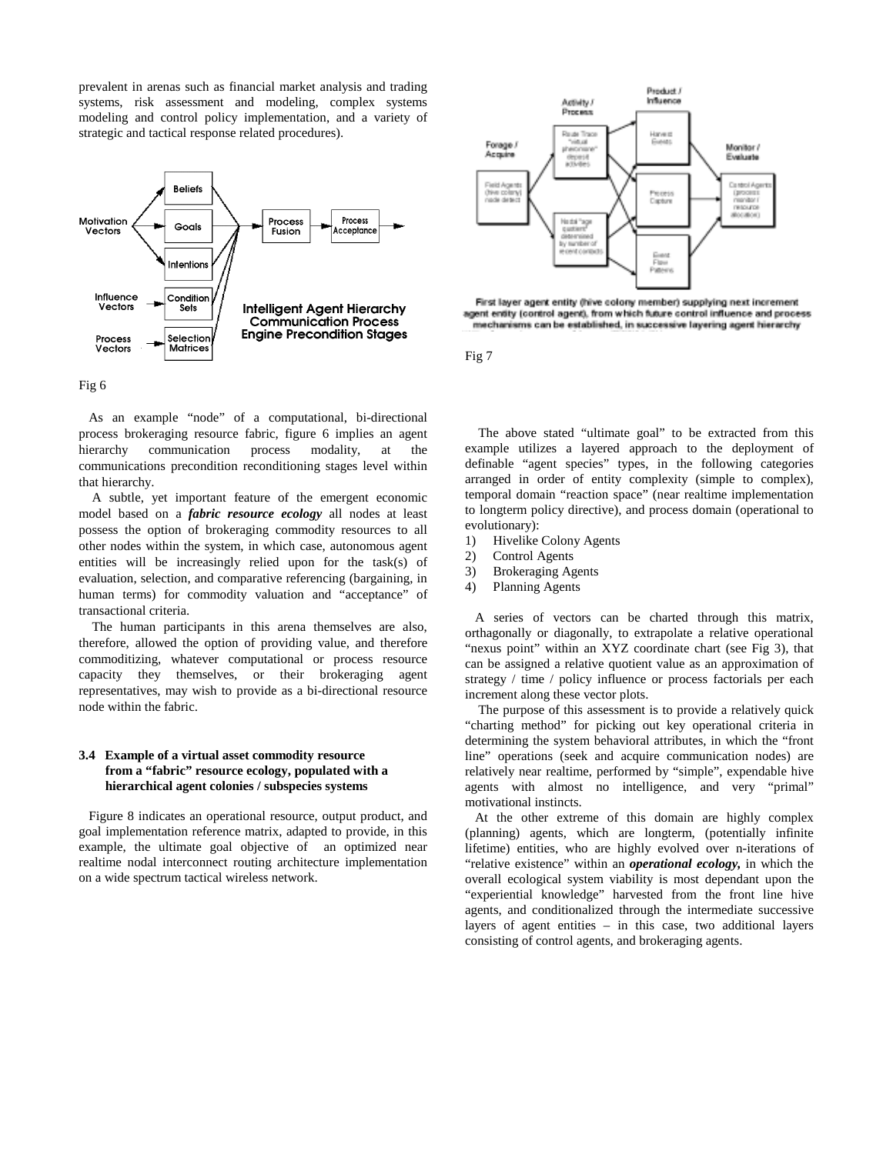prevalent in arenas such as financial market analysis and trading systems, risk assessment and modeling, complex systems modeling and control policy implementation, and a variety of strategic and tactical response related procedures).



## Fig 6

 As an example "node" of a computational, bi-directional process brokeraging resource fabric, figure 6 implies an agent hierarchy communication process modality, at the communications precondition reconditioning stages level within that hierarchy.

 A subtle, yet important feature of the emergent economic model based on a *fabric resource ecology* all nodes at least possess the option of brokeraging commodity resources to all other nodes within the system, in which case, autonomous agent entities will be increasingly relied upon for the task(s) of evaluation, selection, and comparative referencing (bargaining, in human terms) for commodity valuation and "acceptance" of transactional criteria.

 The human participants in this arena themselves are also, therefore, allowed the option of providing value, and therefore commoditizing, whatever computational or process resource capacity they themselves, or their brokeraging agent representatives, may wish to provide as a bi-directional resource node within the fabric.

#### **3.4 Example of a virtual asset commodity resource from a "fabric" resource ecology, populated with a hierarchical agent colonies / subspecies systems**

 Figure 8 indicates an operational resource, output product, and goal implementation reference matrix, adapted to provide, in this example, the ultimate goal objective of an optimized near realtime nodal interconnect routing architecture implementation on a wide spectrum tactical wireless network.



First layer agent entity (hive colony member) supplying next increment agent entity (control agent), from which future control influence and process mechanisms can be established, in successive layering agent hierarchy

Fig 7

 The above stated "ultimate goal" to be extracted from this example utilizes a layered approach to the deployment of definable "agent species" types, in the following categories arranged in order of entity complexity (simple to complex), temporal domain "reaction space" (near realtime implementation to longterm policy directive), and process domain (operational to evolutionary):

- 1) Hivelike Colony Agents
- 2) Control Agents
- 3) Brokeraging Agents
- 4) Planning Agents

 A series of vectors can be charted through this matrix, orthagonally or diagonally, to extrapolate a relative operational "nexus point" within an XYZ coordinate chart (see Fig 3), that can be assigned a relative quotient value as an approximation of strategy / time / policy influence or process factorials per each increment along these vector plots.

 The purpose of this assessment is to provide a relatively quick "charting method" for picking out key operational criteria in determining the system behavioral attributes, in which the "front line" operations (seek and acquire communication nodes) are relatively near realtime, performed by "simple", expendable hive agents with almost no intelligence, and very "primal" motivational instincts.

 At the other extreme of this domain are highly complex (planning) agents, which are longterm, (potentially infinite lifetime) entities, who are highly evolved over n-iterations of "relative existence" within an *operational ecology,* in which the overall ecological system viability is most dependant upon the "experiential knowledge" harvested from the front line hive agents, and conditionalized through the intermediate successive layers of agent entities – in this case, two additional layers consisting of control agents, and brokeraging agents.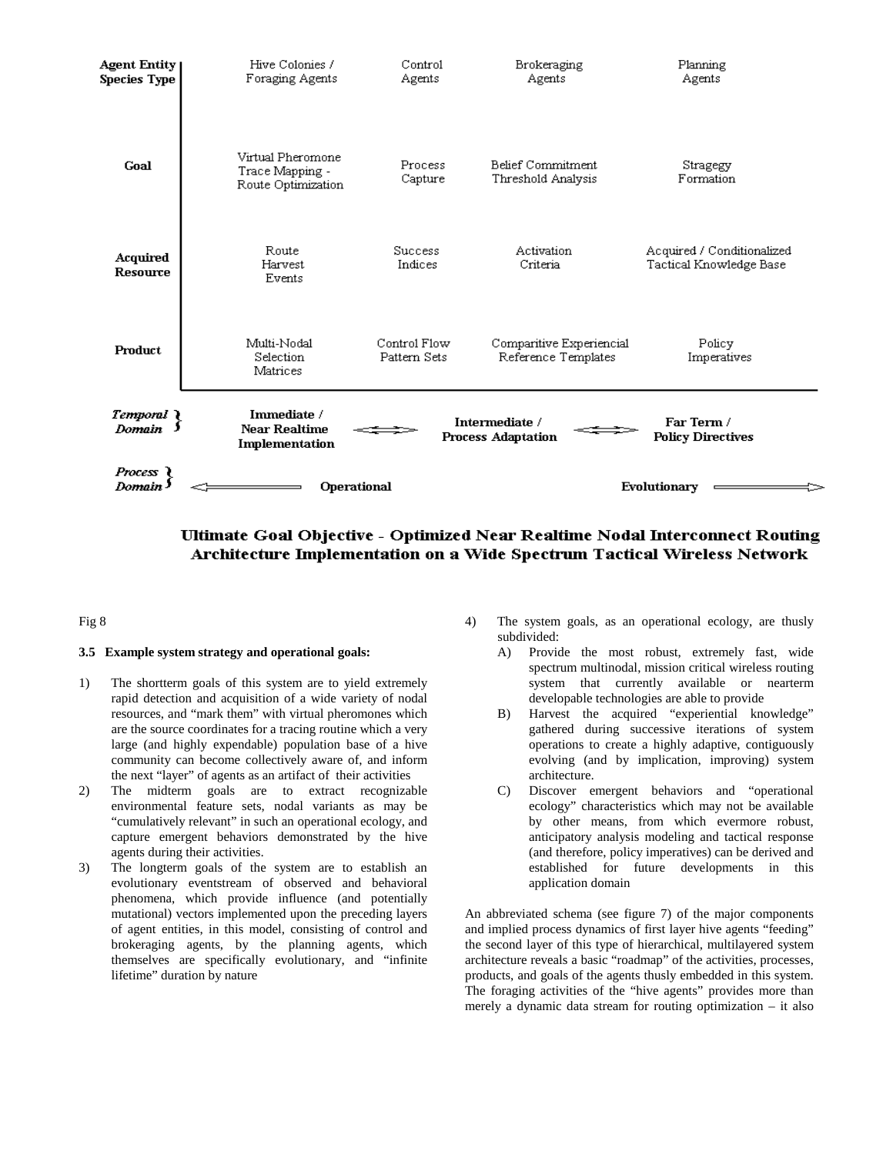

# Ultimate Goal Objective - Optimized Near Realtime Nodal Interconnect Routing Architecture Implementation on a Wide Spectrum Tactical Wireless Network

#### Fig 8

#### **3.5 Example system strategy and operational goals:**

- 1) The shortterm goals of this system are to yield extremely rapid detection and acquisition of a wide variety of nodal resources, and "mark them" with virtual pheromones which are the source coordinates for a tracing routine which a very large (and highly expendable) population base of a hive community can become collectively aware of, and inform the next "layer" of agents as an artifact of their activities
- 2) The midterm goals are to extract recognizable environmental feature sets, nodal variants as may be "cumulatively relevant" in such an operational ecology, and capture emergent behaviors demonstrated by the hive agents during their activities.
- 3) The longterm goals of the system are to establish an evolutionary eventstream of observed and behavioral phenomena, which provide influence (and potentially mutational) vectors implemented upon the preceding layers of agent entities, in this model, consisting of control and brokeraging agents, by the planning agents, which themselves are specifically evolutionary, and "infinite lifetime" duration by nature
- 4) The system goals, as an operational ecology, are thusly subdivided:
	- A) Provide the most robust, extremely fast, wide spectrum multinodal, mission critical wireless routing system that currently available or nearterm developable technologies are able to provide
	- B) Harvest the acquired "experiential knowledge" gathered during successive iterations of system operations to create a highly adaptive, contiguously evolving (and by implication, improving) system architecture.
	- C) Discover emergent behaviors and "operational ecology" characteristics which may not be available by other means, from which evermore robust, anticipatory analysis modeling and tactical response (and therefore, policy imperatives) can be derived and established for future developments in this application domain

An abbreviated schema (see figure 7) of the major components and implied process dynamics of first layer hive agents "feeding" the second layer of this type of hierarchical, multilayered system architecture reveals a basic "roadmap" of the activities, processes, products, and goals of the agents thusly embedded in this system. The foraging activities of the "hive agents" provides more than merely a dynamic data stream for routing optimization – it also